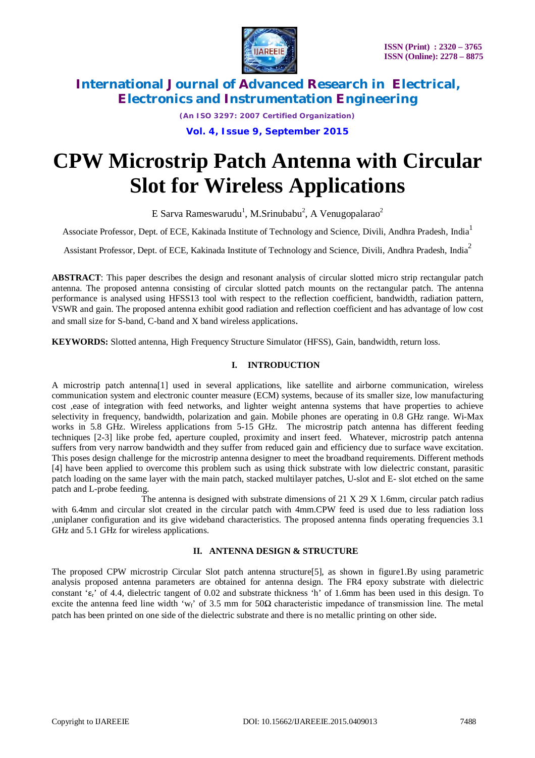

*(An ISO 3297: 2007 Certified Organization)*

**Vol. 4, Issue 9, September 2015**

# **CPW Microstrip Patch Antenna with Circular Slot for Wireless Applications**

E Sarva Rameswarudu<sup>1</sup>, M.Srinubabu<sup>2</sup>, A Venugopalarao<sup>2</sup>

Associate Professor, Dept. of ECE, Kakinada Institute of Technology and Science, Divili, Andhra Pradesh, India<sup>1</sup>

Assistant Professor, Dept. of ECE, Kakinada Institute of Technology and Science, Divili, Andhra Pradesh, India<sup>2</sup>

**ABSTRACT**: This paper describes the design and resonant analysis of circular slotted micro strip rectangular patch antenna. The proposed antenna consisting of circular slotted patch mounts on the rectangular patch. The antenna performance is analysed using HFSS13 tool with respect to the reflection coefficient, bandwidth, radiation pattern, VSWR and gain. The proposed antenna exhibit good radiation and reflection coefficient and has advantage of low cost and small size for S-band, C-band and X band wireless applications.

**KEYWORDS:** Slotted antenna, High Frequency Structure Simulator (HFSS), Gain, bandwidth, return loss.

## **I. INTRODUCTION**

A microstrip patch antenna[1] used in several applications, like satellite and airborne communication, wireless communication system and electronic counter measure (ECM) systems, because of its smaller size, low manufacturing cost ,ease of integration with feed networks, and lighter weight antenna systems that have properties to achieve selectivity in frequency, bandwidth, polarization and gain. Mobile phones are operating in 0.8 GHz range. Wi-Max works in 5.8 GHz. Wireless applications from 5-15 GHz. The microstrip patch antenna has different feeding techniques [2-3] like probe fed, aperture coupled, proximity and insert feed. Whatever, microstrip patch antenna suffers from very narrow bandwidth and they suffer from reduced gain and efficiency due to surface wave excitation. This poses design challenge for the microstrip antenna designer to meet the broadband requirements. Different methods [4] have been applied to overcome this problem such as using thick substrate with low dielectric constant, parasitic patch loading on the same layer with the main patch, stacked multilayer patches, U-slot and E- slot etched on the same patch and L-probe feeding.

 The antenna is designed with substrate dimensions of 21 X 29 X 1.6mm, circular patch radius with 6.4mm and circular slot created in the circular patch with 4mm.CPW feed is used due to less radiation loss ,uniplaner configuration and its give wideband characteristics. The proposed antenna finds operating frequencies 3.1 GHz and 5.1 GHz for wireless applications.

## **II. ANTENNA DESIGN & STRUCTURE**

The proposed CPW microstrip Circular Slot patch antenna structure[5], as shown in figure1.By using parametric analysis proposed antenna parameters are obtained for antenna design. The FR4 epoxy substrate with dielectric constant ' $\epsilon_r$ ' of 4.4, dielectric tangent of 0.02 and substrate thickness 'h' of 1.6mm has been used in this design. To excite the antenna feed line width 'w<sub>f</sub>' of 3.5 mm for  $50\Omega$  characteristic impedance of transmission line. The metal patch has been printed on one side of the dielectric substrate and there is no metallic printing on other side.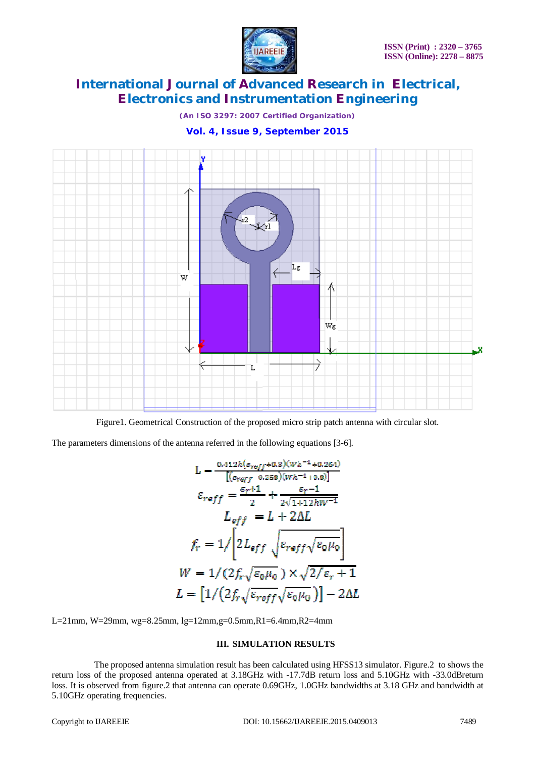

*(An ISO 3297: 2007 Certified Organization)*

## **Vol. 4, Issue 9, September 2015**



Figure1. Geometrical Construction of the proposed micro strip patch antenna with circular slot.

The parameters dimensions of the antenna referred in the following equations [3-6].

$$
L = \frac{0.412h(\varepsilon_{reff} + 0.2)(Wh^{-1} + 0.264)}{[(c_{reff} - 0.256)(Wh^{-1} + 0.0)]}
$$

$$
\varepsilon_{reff} = \frac{\varepsilon_r + 1}{2} + \frac{\varepsilon_r - 1}{2\sqrt{1 + 12hW^{-1}}}
$$

$$
L_{eff} = L + 2\Delta L
$$

$$
f_r = 1/\left[2L_{eff}\sqrt{\varepsilon_{eff}\sqrt{\varepsilon_0\mu_0}}\right]
$$

$$
W = 1/(2f_r\sqrt{\varepsilon_0\mu_0}) \times \sqrt{2/\varepsilon_r + 1}
$$

$$
L = \left[1/(2f_r\sqrt{\varepsilon_{reff}}\sqrt{\varepsilon_0\mu_0})\right] - 2\Delta L
$$

L=21mm, W=29mm, wg=8.25mm, lg=12mm,g=0.5mm,R1=6.4mm,R2=4mm

#### **III. SIMULATION RESULTS**

 The proposed antenna simulation result has been calculated using HFSS13 simulator. Figure.2 to shows the return loss of the proposed antenna operated at 3.18GHz with -17.7dB return loss and 5.10GHz with -33.0dBreturn loss. It is observed from figure.2 that antenna can operate 0.69GHz, 1.0GHz bandwidths at 3.18 GHz and bandwidth at 5.10GHz operating frequencies.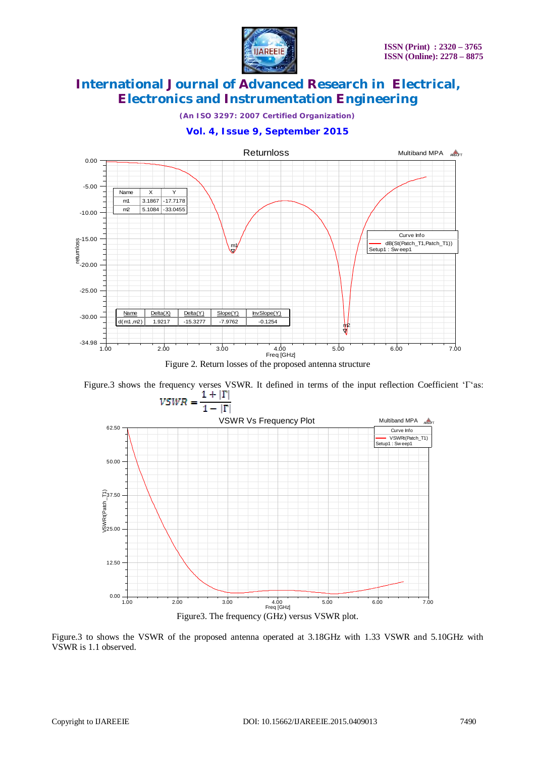

*(An ISO 3297: 2007 Certified Organization)*

## **Vol. 4, Issue 9, September 2015**



Figure.3 shows the frequency verses VSWR. It defined in terms of the input reflection Coefficient ' $\Gamma$ 'as:<br> $1 + |\Gamma|$ 



Figure.3 to shows the VSWR of the proposed antenna operated at 3.18GHz with 1.33 VSWR and 5.10GHz with VSWR is 1.1 observed.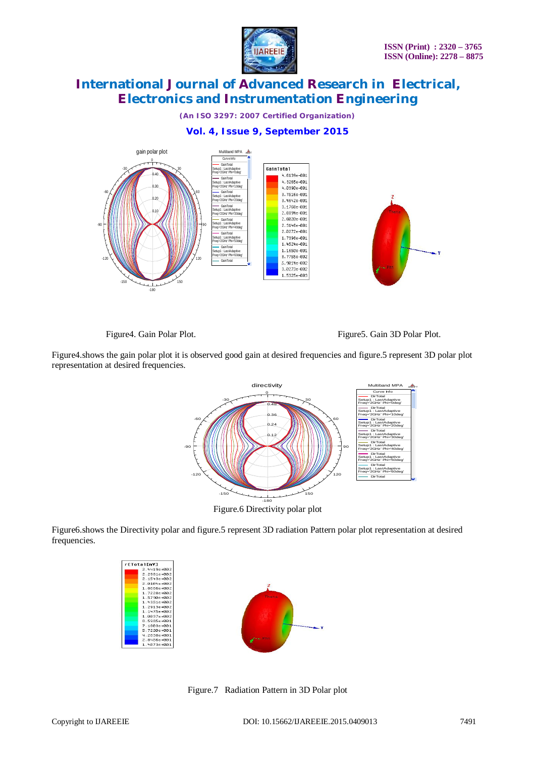

*(An ISO 3297: 2007 Certified Organization)*

## **Vol. 4, Issue 9, September 2015**



Figure4. Gain Polar Plot. Figure5. Gain 3D Polar Plot.

Figure4.shows the gain polar plot it is observed good gain at desired frequencies and figure.5 represent 3D polar plot representation at desired frequencies.



Figure6.shows the Directivity polar and figure.5 represent 3D radiation Pattern polar plot representation at desired frequencies.

| rETotal[mV]     |
|-----------------|
| 2.4419e+002     |
| 2.2981e+002     |
| 2.1543e+002     |
| 2.0104e+002     |
| $1.86666+002$   |
| 1.7228e+002     |
| 1.5790e+002     |
| $1.4351e + 002$ |
| 1.2913e+002     |
| 1.1475e+002     |
| $1.0037e + 002$ |
| 8.5985e+001     |
| 7.1603e+001     |
| 5.7220e+001     |
| 4.2838e+001     |
| 2.8456e+001     |
| $1.4073e + 001$ |



Figure.7 Radiation Pattern in 3D Polar plot